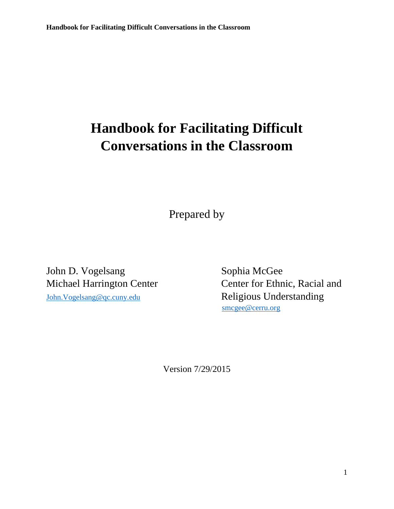# **Handbook for Facilitating Difficult Conversations in the Classroom**

Prepared by

John D. Vogelsang Sophia McGee [John.Vogelsang@qc.cuny.edu](mailto:John.Vogelsang@qc.cuny.edu) Religious Understanding

Michael Harrington Center Center Center for Ethnic, Racial and [smcgee@cerru.org](mailto:smcgee@cerru.org)

Version 7/29/2015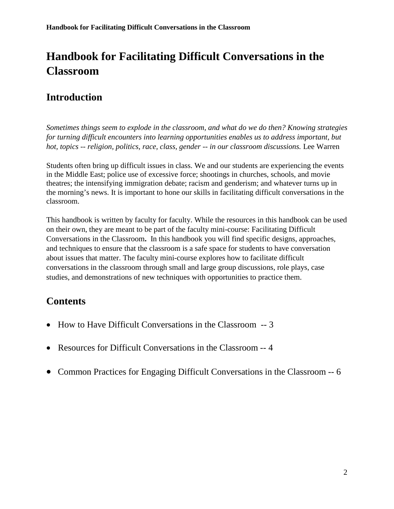## **Handbook for Facilitating Difficult Conversations in the Classroom**

### **Introduction**

*Sometimes things seem to explode in the classroom, and what do we do then? Knowing strategies for turning difficult encounters into learning opportunities enables us to address important, but hot, topics -- religion, politics, race, class, gender -- in our classroom discussions.* Lee Warren

Students often bring up difficult issues in class. We and our students are experiencing the events in the Middle East; police use of excessive force; shootings in churches, schools, and movie theatres; the intensifying immigration debate; racism and genderism; and whatever turns up in the morning's news. It is important to hone our skills in facilitating difficult conversations in the classroom.

This handbook is written by faculty for faculty. While the resources in this handbook can be used on their own, they are meant to be part of the faculty mini-course: Facilitating Difficult Conversations in the Classroom**.** In this handbook you will find specific designs, approaches, and techniques to ensure that the classroom is a safe space for students to have conversation about issues that matter. The faculty mini-course explores how to facilitate difficult conversations in the classroom through small and large group discussions, role plays, case studies, and demonstrations of new techniques with opportunities to practice them.

### **Contents**

- How to Have Difficult Conversations in the Classroom -- 3
- Resources for Difficult Conversations in the Classroom -- 4
- Common Practices for Engaging Difficult Conversations in the Classroom -- 6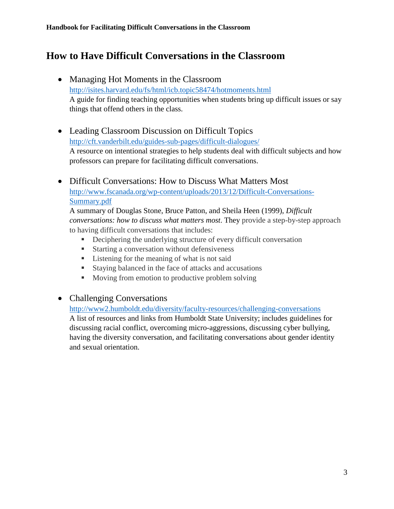### **How to Have Difficult Conversations in the Classroom**

- Managing Hot Moments in the Classroom <http://isites.harvard.edu/fs/html/icb.topic58474/hotmoments.html> A guide for finding teaching opportunities when students bring up difficult issues or say things that offend others in the class.
- Leading Classroom Discussion on Difficult Topics <http://cft.vanderbilt.edu/guides-sub-pages/difficult-dialogues/> A resource on intentional strategies to help students deal with difficult subjects and how professors can prepare for facilitating difficult conversations.
- Difficult Conversations: How to Discuss What Matters Most [http://www.fscanada.org/wp-content/uploads/2013/12/Difficult-Conversations-](http://www.fscanada.org/wp-content/uploads/2013/12/Difficult-Conversations-Summary.pdf)[Summary.pdf](http://www.fscanada.org/wp-content/uploads/2013/12/Difficult-Conversations-Summary.pdf)

A summary of Douglas Stone, Bruce Patton, and Sheila Heen (1999), *Difficult conversations: how to discuss what matters most*. They provide a step-by-step approach to having difficult conversations that includes:

- **•** Deciphering the underlying structure of every difficult conversation
- Starting a conversation without defensiveness
- Listening for the meaning of what is not said
- **Staying balanced in the face of attacks and accusations**
- **Moving from emotion to productive problem solving**

#### • Challenging Conversations

<http://www2.humboldt.edu/diversity/faculty-resources/challenging-conversations> A list of resources and links from Humboldt State University; includes guidelines for discussing racial conflict, overcoming micro-aggressions, discussing cyber bullying, having the diversity conversation, and facilitating conversations about gender identity and sexual orientation.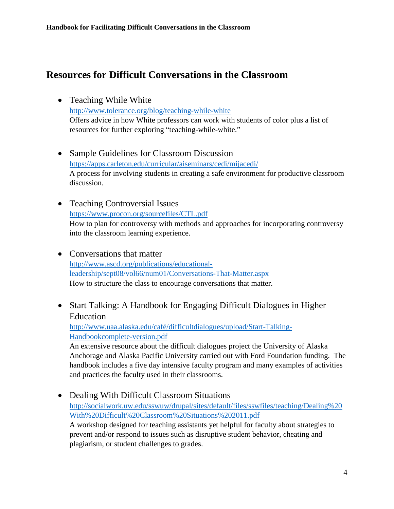### **Resources for Difficult Conversations in the Classroom**

• Teaching While White

<http://www.tolerance.org/blog/teaching-while-white> Offers advice in how White professors can work with students of color plus a list of resources for further exploring "teaching-while-white."

- Sample Guidelines for Classroom Discussion <https://apps.carleton.edu/curricular/aiseminars/cedi/mijacedi/> A process for involving students in creating a safe environment for productive classroom discussion.
- Teaching Controversial Issues <https://www.procon.org/sourcefiles/CTL.pdf> How to plan for controversy with methods and approaches for incorporating controversy into the classroom learning experience.
- Conversations that matter [http://www.ascd.org/publications/educational](http://www.ascd.org/publications/educational-leadership/sept08/vol66/num01/Conversations-That-Matter.aspx)[leadership/sept08/vol66/num01/Conversations-That-Matter.aspx](http://www.ascd.org/publications/educational-leadership/sept08/vol66/num01/Conversations-That-Matter.aspx) How to structure the class to encourage conversations that matter.
- Start Talking: A Handbook for Engaging Difficult Dialogues in Higher Education

[http://www.uaa.alaska.edu/café/difficultdialogues/upload/Start-Talking-](http://www.uaa.alaska.edu/cafe/difficultdialogues/upload/Start-Talking-Handbookcomplete-version.pdf)[Handbookcomplete-version.pdf](http://www.uaa.alaska.edu/cafe/difficultdialogues/upload/Start-Talking-Handbookcomplete-version.pdf)

An extensive resource about the difficult dialogues project the University of Alaska Anchorage and Alaska Pacific University carried out with Ford Foundation funding. The handbook includes a five day intensive faculty program and many examples of activities and practices the faculty used in their classrooms.

• Dealing With Difficult Classroom Situations [http://socialwork.uw.edu/sswuw/drupal/sites/default/files/sswfiles/teaching/Dealing%20](http://socialwork.uw.edu/sswuw/drupal/sites/default/files/sswfiles/teaching/Dealing%20With%20Difficult%20Classroom%20Situations%202011.pdf) [With%20Difficult%20Classroom%20Situations%202011.pdf](http://socialwork.uw.edu/sswuw/drupal/sites/default/files/sswfiles/teaching/Dealing%20With%20Difficult%20Classroom%20Situations%202011.pdf) A workshop designed for teaching assistants yet helpful for faculty about strategies to prevent and/or respond to issues such as disruptive student behavior, cheating and plagiarism, or student challenges to grades.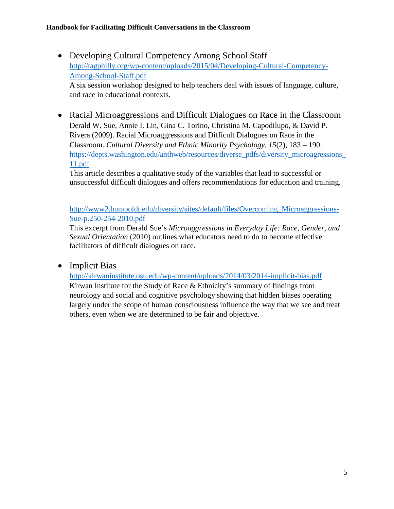- Developing Cultural Competency Among School Staff [http://tagphilly.org/wp-content/uploads/2015/04/Developing-Cultural-Competency-](http://tagphilly.org/wp-content/uploads/2015/04/Developing-Cultural-Competency-Among-School-Staff.pdf)[Among-School-Staff.pdf](http://tagphilly.org/wp-content/uploads/2015/04/Developing-Cultural-Competency-Among-School-Staff.pdf) A six session workshop designed to help teachers deal with issues of language, culture, and race in educational contexts.
- Racial Microaggressions and Difficult Dialogues on Race in the Classroom Derald W. Sue, Annie I. Lin, Gina C. Torino, Christina M. Capodilupo, & David P. Rivera (2009). Racial Microaggressions and Difficult Dialogues on Race in the Classroom. *Cultural Diversity and Ethnic Minority Psychology, 15*(2), 183 – 190. https://depts.washington.edu/anthweb/resources/diverse\_pdfs/diversity\_microagressions [11.pdf](https://depts.washington.edu/anthweb/resources/diverse_pdfs/diversity_microagressions_11.pdf)

This article describes a qualitative study of the variables that lead to successful or unsuccessful difficult dialogues and offers recommendations for education and training.

[http://www2.humboldt.edu/diversity/sites/default/files/Overcoming\\_Microaggressions-](http://www2.humboldt.edu/diversity/sites/default/files/Overcoming_Microaggressions-Sue-p.250-254-2010.pdf)[Sue-p.250-254-2010.pdf](http://www2.humboldt.edu/diversity/sites/default/files/Overcoming_Microaggressions-Sue-p.250-254-2010.pdf)

This excerpt from Derald Sue's *Microaggressions in Everyday Life: Race, Gender, and Sexual Orientation* (2010) outlines what educators need to do to become effective facilitators of difficult dialogues on race.

• Implicit Bias

<http://kirwaninstitute.osu.edu/wp-content/uploads/2014/03/2014-implicit-bias.pdf> Kirwan Institute for the Study of Race & Ethnicity's summary of findings from neurology and social and cognitive psychology showing that hidden biases operating largely under the scope of human consciousness influence the way that we see and treat others, even when we are determined to be fair and objective.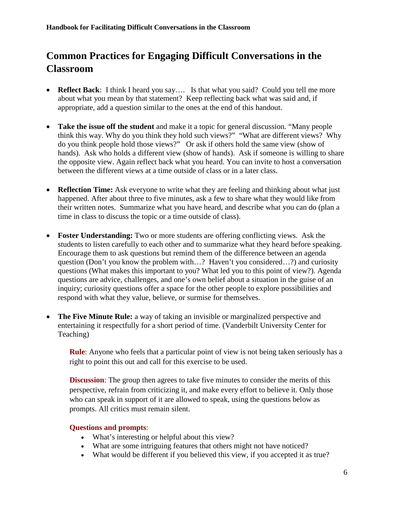### **Common Practices for Engaging Difficult Conversations in the Classroom**

- **Reflect Back**: I think I heard you say.... Is that what you said? Could you tell me more about what you mean by that statement? Keep reflecting back what was said and, if appropriate, add a question similar to the ones at the end of this handout.
- **Take the issue off the student** and make it a topic for general discussion. "Many people think this way. Why do you think they hold such views?" "What are different views? Why do you think people hold those views?" Or ask if others hold the same view (show of hands). Ask who holds a different view (show of hands). Ask if someone is willing to share the opposite view. Again reflect back what you heard. You can invite to host a conversation between the different views at a time outside of class or in a later class.
- **Reflection Time:** Ask everyone to write what they are feeling and thinking about what just happened. After about three to five minutes, ask a few to share what they would like from their written notes. Summarize what you have heard, and describe what you can do (plan a time in class to discuss the topic or a time outside of class).
- **Foster Understanding:** Two or more students are offering conflicting views. Ask the students to listen carefully to each other and to summarize what they heard before speaking. Encourage them to ask questions but remind them of the difference between an agenda question (Don't you know the problem with…? Haven't you considered…?) and curiosity questions (What makes this important to you? What led you to this point of view?). Agenda questions are advice, challenges, and one's own belief about a situation in the guise of an inquiry; curiosity questions offer a space for the other people to explore possibilities and respond with what they value, believe, or surmise for themselves.
- **The Five Minute Rule:** a way of taking an invisible or marginalized perspective and entertaining it respectfully for a short period of time. (Vanderbilt University Center for Teaching)

**Rule**: Anyone who feels that a particular point of view is not being taken seriously has a right to point this out and call for this exercise to be used.

**Discussion**: The group then agrees to take five minutes to consider the merits of this perspective, refrain from criticizing it, and make every effort to believe it. Only those who can speak in support of it are allowed to speak, using the questions below as prompts. All critics must remain silent.

#### **Questions and prompts**:

- What's interesting or helpful about this view?
- What are some intriguing features that others might not have noticed?
- What would be different if you believed this view, if you accepted it as true?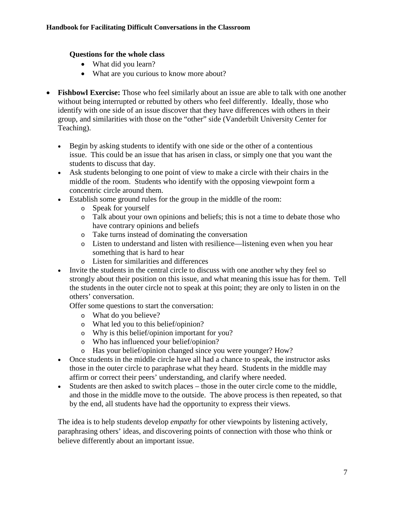#### **Questions for the whole class**

- What did you learn?
- What are you curious to know more about?
- **Fishbowl Exercise:** Those who feel similarly about an issue are able to talk with one another without being interrupted or rebutted by others who feel differently. Ideally, those who identify with one side of an issue discover that they have differences with others in their group, and similarities with those on the "other" side (Vanderbilt University Center for Teaching).
	- Begin by asking students to identify with one side or the other of a contentious issue. This could be an issue that has arisen in class, or simply one that you want the students to discuss that day.
	- Ask students belonging to one point of view to make a circle with their chairs in the middle of the room. Students who identify with the opposing viewpoint form a concentric circle around them.
	- Establish some ground rules for the group in the middle of the room:
		- o Speak for yourself
		- o Talk about your own opinions and beliefs; this is not a time to debate those who have contrary opinions and beliefs
		- o Take turns instead of dominating the conversation
		- o Listen to understand and listen with resilience—listening even when you hear something that is hard to hear
		- o Listen for similarities and differences
	- Invite the students in the central circle to discuss with one another why they feel so strongly about their position on this issue, and what meaning this issue has for them. Tell the students in the outer circle not to speak at this point; they are only to listen in on the others' conversation.

Offer some questions to start the conversation:

- o What do you believe?
- o What led you to this belief/opinion?
- o Why is this belief/opinion important for you?
- o Who has influenced your belief/opinion?
- o Has your belief/opinion changed since you were younger? How?
- Once students in the middle circle have all had a chance to speak, the instructor asks those in the outer circle to paraphrase what they heard. Students in the middle may affirm or correct their peers' understanding, and clarify where needed.
- Students are then asked to switch places those in the outer circle come to the middle, and those in the middle move to the outside. The above process is then repeated, so that by the end, all students have had the opportunity to express their views.

The idea is to help students develop *empathy* for other viewpoints by listening actively, paraphrasing others' ideas, and discovering points of connection with those who think or believe differently about an important issue.